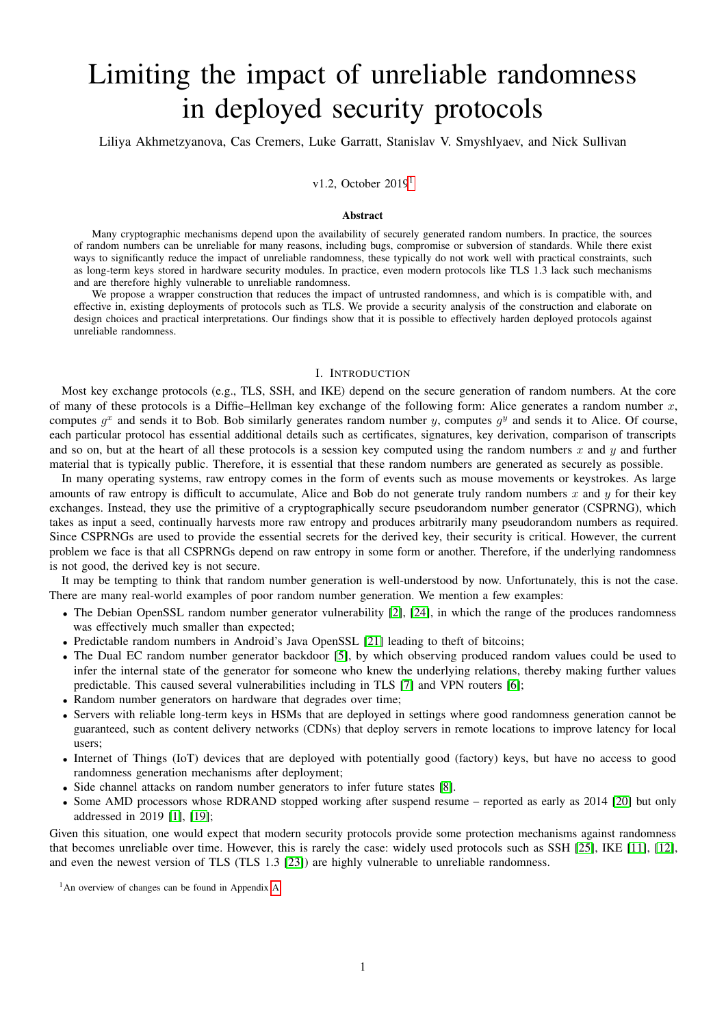# Limiting the impact of unreliable randomness in deployed security protocols

Liliya Akhmetzyanova, Cas Cremers, Luke Garratt, Stanislav V. Smyshlyaev, and Nick Sullivan

v1.2, October 2019[1](#page-0-0)

#### Abstract

Many cryptographic mechanisms depend upon the availability of securely generated random numbers. In practice, the sources of random numbers can be unreliable for many reasons, including bugs, compromise or subversion of standards. While there exist ways to significantly reduce the impact of unreliable randomness, these typically do not work well with practical constraints, such as long-term keys stored in hardware security modules. In practice, even modern protocols like TLS 1.3 lack such mechanisms and are therefore highly vulnerable to unreliable randomness.

We propose a wrapper construction that reduces the impact of untrusted randomness, and which is is compatible with, and effective in, existing deployments of protocols such as TLS. We provide a security analysis of the construction and elaborate on design choices and practical interpretations. Our findings show that it is possible to effectively harden deployed protocols against unreliable randomness.

# I. INTRODUCTION

Most key exchange protocols (e.g., TLS, SSH, and IKE) depend on the secure generation of random numbers. At the core of many of these protocols is a Diffie–Hellman key exchange of the following form: Alice generates a random number  $x$ , computes  $g^x$  and sends it to Bob. Bob similarly generates random number y, computes  $g^y$  and sends it to Alice. Of course, each particular protocol has essential additional details such as certificates, signatures, key derivation, comparison of transcripts and so on, but at the heart of all these protocols is a session key computed using the random numbers x and y and further material that is typically public. Therefore, it is essential that these random numbers are generated as securely as possible.

In many operating systems, raw entropy comes in the form of events such as mouse movements or keystrokes. As large amounts of raw entropy is difficult to accumulate, Alice and Bob do not generate truly random numbers  $x$  and  $y$  for their key exchanges. Instead, they use the primitive of a cryptographically secure pseudorandom number generator (CSPRNG), which takes as input a seed, continually harvests more raw entropy and produces arbitrarily many pseudorandom numbers as required. Since CSPRNGs are used to provide the essential secrets for the derived key, their security is critical. However, the current problem we face is that all CSPRNGs depend on raw entropy in some form or another. Therefore, if the underlying randomness is not good, the derived key is not secure.

It may be tempting to think that random number generation is well-understood by now. Unfortunately, this is not the case. There are many real-world examples of poor random number generation. We mention a few examples:

- The Debian OpenSSL random number generator vulnerability [\[2\]](#page-10-0), [\[24\]](#page-11-0), in which the range of the produces randomness was effectively much smaller than expected;
- Predictable random numbers in Android's Java OpenSSL [\[21\]](#page-11-1) leading to theft of bitcoins;
- The Dual EC random number generator backdoor [\[5\]](#page-10-1), by which observing produced random values could be used to infer the internal state of the generator for someone who knew the underlying relations, thereby making further values predictable. This caused several vulnerabilities including in TLS [\[7\]](#page-10-2) and VPN routers [\[6\]](#page-10-3);
- Random number generators on hardware that degrades over time;
- Servers with reliable long-term keys in HSMs that are deployed in settings where good randomness generation cannot be guaranteed, such as content delivery networks (CDNs) that deploy servers in remote locations to improve latency for local users;
- Internet of Things (IoT) devices that are deployed with potentially good (factory) keys, but have no access to good randomness generation mechanisms after deployment;
- Side channel attacks on random number generators to infer future states [\[8\]](#page-10-4).
- Some AMD processors whose RDRAND stopped working after suspend resume reported as early as 2014 [\[20\]](#page-10-5) but only addressed in 2019 [\[1\]](#page-10-6), [\[19\]](#page-10-7);

Given this situation, one would expect that modern security protocols provide some protection mechanisms against randomness that becomes unreliable over time. However, this is rarely the case: widely used protocols such as SSH [\[25\]](#page-11-2), IKE [\[11\]](#page-10-8), [\[12\]](#page-10-9), and even the newest version of TLS (TLS 1.3 [\[23\]](#page-11-3)) are highly vulnerable to unreliable randomness.

<span id="page-0-0"></span><sup>1</sup>An overview of changes can be found in Appendix [A.](#page-12-0)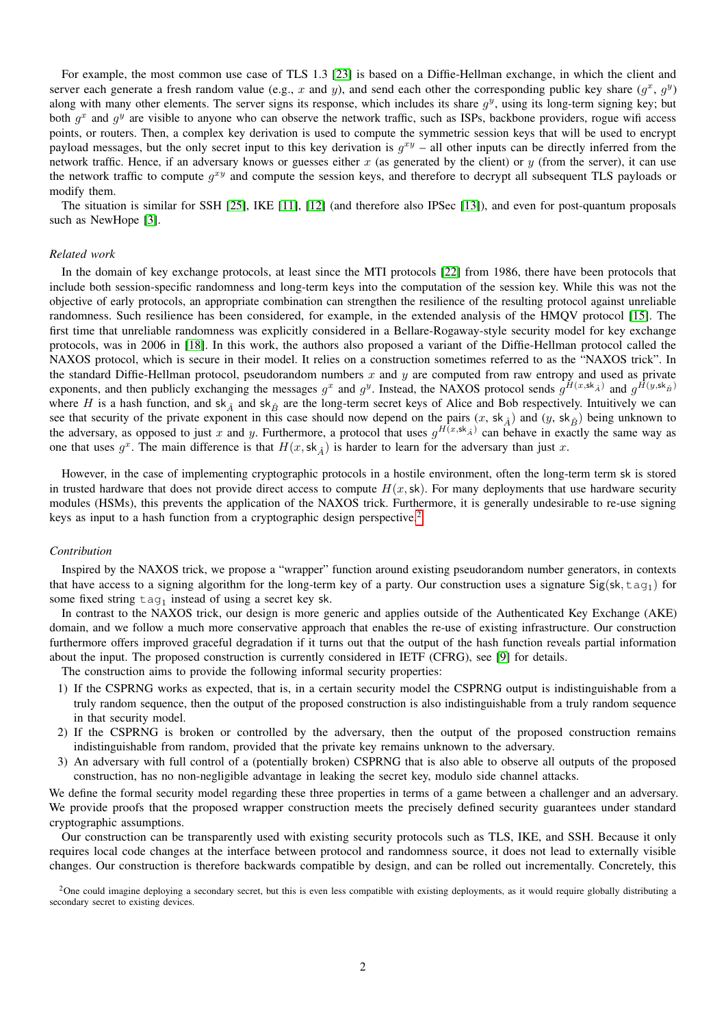For example, the most common use case of TLS 1.3 [\[23\]](#page-11-3) is based on a Diffie-Hellman exchange, in which the client and server each generate a fresh random value (e.g., x and y), and send each other the corresponding public key share  $(g^x, g^y)$ along with many other elements. The server signs its response, which includes its share  $g<sup>y</sup>$ , using its long-term signing key; but both  $g^x$  and  $g^y$  are visible to anyone who can observe the network traffic, such as ISPs, backbone providers, rogue wifi access points, or routers. Then, a complex key derivation is used to compute the symmetric session keys that will be used to encrypt payload messages, but the only secret input to this key derivation is  $g^{xy}$  – all other inputs can be directly inferred from the network traffic. Hence, if an adversary knows or guesses either  $x$  (as generated by the client) or  $y$  (from the server), it can use the network traffic to compute  $g^{xy}$  and compute the session keys, and therefore to decrypt all subsequent TLS payloads or modify them.

The situation is similar for SSH [\[25\]](#page-11-2), IKE [\[11\]](#page-10-8), [\[12\]](#page-10-9) (and therefore also IPSec [\[13\]](#page-10-10)), and even for post-quantum proposals such as NewHope [\[3\]](#page-10-11).

# *Related work*

In the domain of key exchange protocols, at least since the MTI protocols [\[22\]](#page-11-4) from 1986, there have been protocols that include both session-specific randomness and long-term keys into the computation of the session key. While this was not the objective of early protocols, an appropriate combination can strengthen the resilience of the resulting protocol against unreliable randomness. Such resilience has been considered, for example, in the extended analysis of the HMQV protocol [\[15\]](#page-10-12). The first time that unreliable randomness was explicitly considered in a Bellare-Rogaway-style security model for key exchange protocols, was in 2006 in [\[18\]](#page-10-13). In this work, the authors also proposed a variant of the Diffie-Hellman protocol called the NAXOS protocol, which is secure in their model. It relies on a construction sometimes referred to as the "NAXOS trick". In the standard Diffie-Hellman protocol, pseudorandom numbers  $x$  and  $y$  are computed from raw entropy and used as private exponents, and then publicly exchanging the messages  $g^x$  and  $g^y$ . Instead, the NAXOS protocol sends  $g^{H(x,sk_{\hat{A}})}$  and  $g^{H(y,sk_{\hat{B}})}$ where H is a hash function, and sk<sub>Â</sub> and sk<sub>B</sub> are the long-term secret keys of Alice and Bob respectively. Intuitively we can see that security of the private exponent in this case should now depend on the pairs  $(x, sk_{\hat{A}})$  and  $(y, sk_{\hat{B}})$  being unknown to the adversary, as opposed to just x and y. Furthermore, a protocol that uses  $g^{H(x,sk_{\hat{A}})}$  can behave in exactly the same way as one that uses  $g^x$ . The main difference is that  $H(x, \text{sk}_{\hat{A}})$  is harder to learn for the adversary than just x.

However, in the case of implementing cryptographic protocols in a hostile environment, often the long-term term sk is stored in trusted hardware that does not provide direct access to compute  $H(x,sk)$ . For many deployments that use hardware security modules (HSMs), this prevents the application of the NAXOS trick. Furthermore, it is generally undesirable to re-use signing keys as input to a hash function from a cryptographic design perspective.<sup>[2](#page-1-0)</sup>

#### <span id="page-1-1"></span>*Contribution*

Inspired by the NAXOS trick, we propose a "wrapper" function around existing pseudorandom number generators, in contexts that have access to a signing algorithm for the long-term key of a party. Our construction uses a signature  $Sig(sk, tag_1)$  for some fixed string  $\text{tag}_1$  instead of using a secret key sk.

In contrast to the NAXOS trick, our design is more generic and applies outside of the Authenticated Key Exchange (AKE) domain, and we follow a much more conservative approach that enables the re-use of existing infrastructure. Our construction furthermore offers improved graceful degradation if it turns out that the output of the hash function reveals partial information about the input. The proposed construction is currently considered in IETF (CFRG), see [\[9\]](#page-10-14) for details.

The construction aims to provide the following informal security properties:

- 1) If the CSPRNG works as expected, that is, in a certain security model the CSPRNG output is indistinguishable from a truly random sequence, then the output of the proposed construction is also indistinguishable from a truly random sequence in that security model.
- 2) If the CSPRNG is broken or controlled by the adversary, then the output of the proposed construction remains indistinguishable from random, provided that the private key remains unknown to the adversary.
- 3) An adversary with full control of a (potentially broken) CSPRNG that is also able to observe all outputs of the proposed construction, has no non-negligible advantage in leaking the secret key, modulo side channel attacks.

We define the formal security model regarding these three properties in terms of a game between a challenger and an adversary. We provide proofs that the proposed wrapper construction meets the precisely defined security guarantees under standard cryptographic assumptions.

Our construction can be transparently used with existing security protocols such as TLS, IKE, and SSH. Because it only requires local code changes at the interface between protocol and randomness source, it does not lead to externally visible changes. Our construction is therefore backwards compatible by design, and can be rolled out incrementally. Concretely, this

<span id="page-1-0"></span><sup>&</sup>lt;sup>2</sup>One could imagine deploying a secondary secret, but this is even less compatible with existing deployments, as it would require globally distributing a secondary secret to existing devices.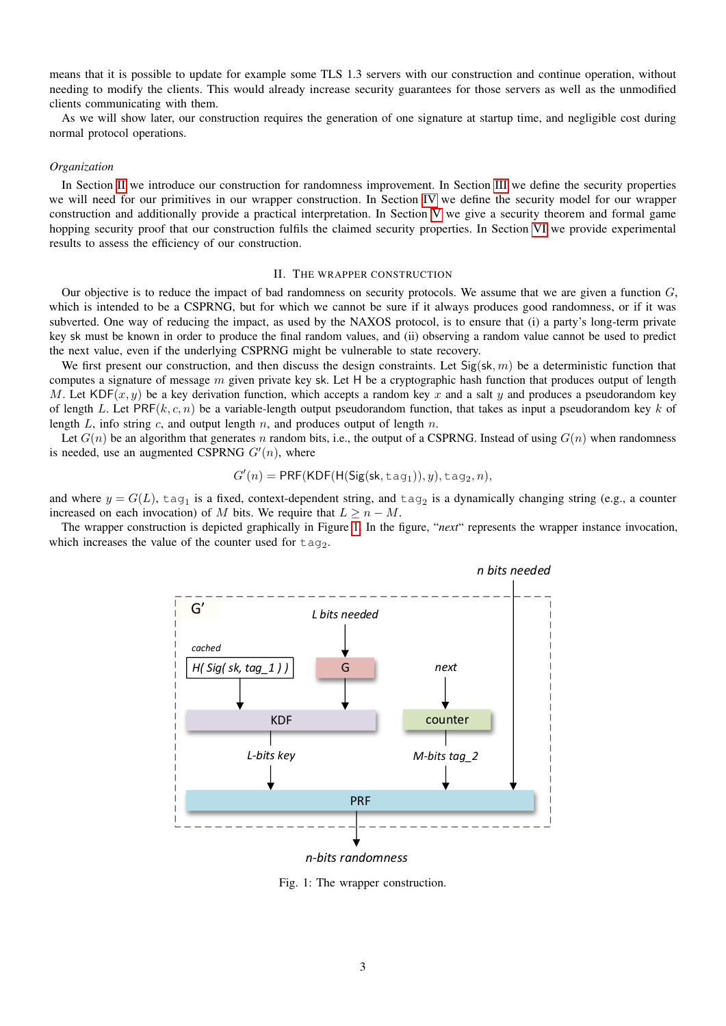means that it is possible to update for example some TLS 1.3 servers with our construction and continue operation, without needing to modify the clients. This would already increase security guarantees for those servers as well as the unmodified clients communicating with them.

As we will show later, our construction requires the generation of one signature at startup time, and negligible cost during normal protocol operations.

# *Organization*

In Section [II](#page-2-0) we introduce our construction for randomness improvement. In Section [III](#page-3-0) we define the security properties we will need for our primitives in our wrapper construction. In Section [IV](#page-5-0) we define the security model for our wrapper construction and additionally provide a practical interpretation. In Section [V](#page-7-0) we give a security theorem and formal game hopping security proof that our construction fulfils the claimed security properties. In Section [VI](#page-8-0) we provide experimental results to assess the efficiency of our construction.

# II. THE WRAPPER CONSTRUCTION

<span id="page-2-0"></span>Our objective is to reduce the impact of bad randomness on security protocols. We assume that we are given a function G, which is intended to be a CSPRNG, but for which we cannot be sure if it always produces good randomness, or if it was subverted. One way of reducing the impact, as used by the NAXOS protocol, is to ensure that (i) a party's long-term private key sk must be known in order to produce the final random values, and (ii) observing a random value cannot be used to predict the next value, even if the underlying CSPRNG might be vulnerable to state recovery.

We first present our construction, and then discuss the design constraints. Let  $Sig(s, m)$  be a deterministic function that computes a signature of message  $m$  given private key sk. Let H be a cryptographic hash function that produces output of length M. Let KDF(x, y) be a key derivation function, which accepts a random key x and a salt y and produces a pseudorandom key of length L. Let  $PRF(k, c, n)$  be a variable-length output pseudorandom function, that takes as input a pseudorandom key k of length L, info string c, and output length n, and produces output of length n.

Let  $G(n)$  be an algorithm that generates n random bits, i.e., the output of a CSPRNG. Instead of using  $G(n)$  when randomness is needed, use an augmented CSPRNG  $G'(n)$ , where

$$
G'(n) = \mathsf{PRF}(\mathsf{KDF}(\mathsf{H}(\mathsf{Sig}(\mathsf{sk},\texttt{tag}_1)),y),\texttt{tag}_2,n),
$$

and where  $y = G(L)$ ,  $\text{tag}_1$  is a fixed, context-dependent string, and  $\text{tag}_2$  is a dynamically changing string (e.g., a counter increased on each invocation) of M bits. We require that  $L \geq n - M$ .

<span id="page-2-1"></span>The wrapper construction is depicted graphically in Figure [1.](#page-2-1) In the figure, "*next*" represents the wrapper instance invocation, which increases the value of the counter used for  $\text{tag}_2$ .



Fig. 1: The wrapper construction.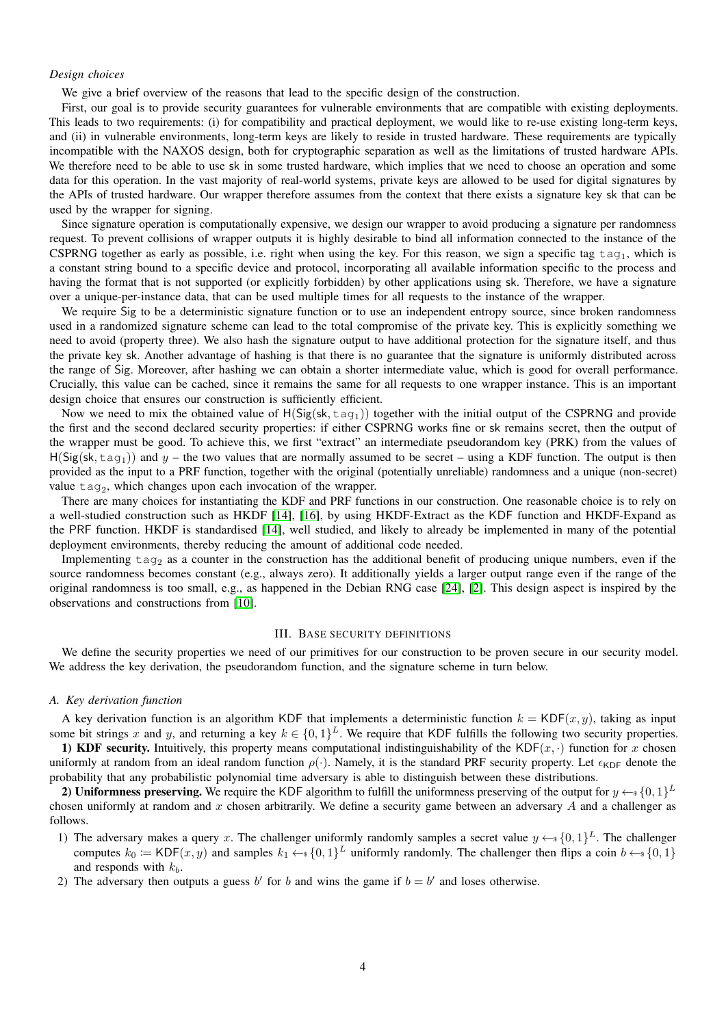# *Design choices*

We give a brief overview of the reasons that lead to the specific design of the construction.

First, our goal is to provide security guarantees for vulnerable environments that are compatible with existing deployments. This leads to two requirements: (i) for compatibility and practical deployment, we would like to re-use existing long-term keys, and (ii) in vulnerable environments, long-term keys are likely to reside in trusted hardware. These requirements are typically incompatible with the NAXOS design, both for cryptographic separation as well as the limitations of trusted hardware APIs. We therefore need to be able to use sk in some trusted hardware, which implies that we need to choose an operation and some data for this operation. In the vast majority of real-world systems, private keys are allowed to be used for digital signatures by the APIs of trusted hardware. Our wrapper therefore assumes from the context that there exists a signature key sk that can be used by the wrapper for signing.

Since signature operation is computationally expensive, we design our wrapper to avoid producing a signature per randomness request. To prevent collisions of wrapper outputs it is highly desirable to bind all information connected to the instance of the CSPRNG together as early as possible, i.e. right when using the key. For this reason, we sign a specific tag  $\text{tag } t_{a}$ , which is a constant string bound to a specific device and protocol, incorporating all available information specific to the process and having the format that is not supported (or explicitly forbidden) by other applications using sk. Therefore, we have a signature over a unique-per-instance data, that can be used multiple times for all requests to the instance of the wrapper.

We require Sig to be a deterministic signature function or to use an independent entropy source, since broken randomness used in a randomized signature scheme can lead to the total compromise of the private key. This is explicitly something we need to avoid (property three). We also hash the signature output to have additional protection for the signature itself, and thus the private key sk. Another advantage of hashing is that there is no guarantee that the signature is uniformly distributed across the range of Sig. Moreover, after hashing we can obtain a shorter intermediate value, which is good for overall performance. Crucially, this value can be cached, since it remains the same for all requests to one wrapper instance. This is an important design choice that ensures our construction is sufficiently efficient.

Now we need to mix the obtained value of  $H(Sig(sk, tag_1))$  together with the initial output of the CSPRNG and provide the first and the second declared security properties: if either CSPRNG works fine or sk remains secret, then the output of the wrapper must be good. To achieve this, we first "extract" an intermediate pseudorandom key (PRK) from the values of  $H(Sig(sk, tag_1))$  and  $y$  – the two values that are normally assumed to be secret – using a KDF function. The output is then provided as the input to a PRF function, together with the original (potentially unreliable) randomness and a unique (non-secret) value  $\text{tag}_2$ , which changes upon each invocation of the wrapper.

There are many choices for instantiating the KDF and PRF functions in our construction. One reasonable choice is to rely on a well-studied construction such as HKDF [\[14\]](#page-10-15), [\[16\]](#page-10-16), by using HKDF-Extract as the KDF function and HKDF-Expand as the PRF function. HKDF is standardised [\[14\]](#page-10-15), well studied, and likely to already be implemented in many of the potential deployment environments, thereby reducing the amount of additional code needed.

Implementing  $\text{tag}_2$  as a counter in the construction has the additional benefit of producing unique numbers, even if the source randomness becomes constant (e.g., always zero). It additionally yields a larger output range even if the range of the original randomness is too small, e.g., as happened in the Debian RNG case [\[24\]](#page-11-0), [\[2\]](#page-10-0). This design aspect is inspired by the observations and constructions from [\[10\]](#page-10-17).

#### III. BASE SECURITY DEFINITIONS

<span id="page-3-0"></span>We define the security properties we need of our primitives for our construction to be proven secure in our security model. We address the key derivation, the pseudorandom function, and the signature scheme in turn below.

#### *A. Key derivation function*

A key derivation function is an algorithm KDF that implements a deterministic function  $k = KDF(x, y)$ , taking as input some bit strings x and y, and returning a key  $k \in \{0,1\}^L$ . We require that KDF fulfills the following two security properties.

1) KDF security. Intuitively, this property means computational indistinguishability of the KDF(x,  $\cdot$ ) function for x chosen uniformly at random from an ideal random function  $\rho(\cdot)$ . Namely, it is the standard PRF security property. Let  $\epsilon_{KDF}$  denote the probability that any probabilistic polynomial time adversary is able to distinguish between these distributions.

2) Uniformness preserving. We require the KDF algorithm to fulfill the uniformness preserving of the output for  $y \leftarrow s \{0, 1\}^L$ chosen uniformly at random and x chosen arbitrarily. We define a security game between an adversary  $A$  and a challenger as follows.

- 1) The adversary makes a query x. The challenger uniformly randomly samples a secret value  $y \leftarrow s \{0, 1\}^L$ . The challenger computes  $k_0 := \text{KDF}(x, y)$  and samples  $k_1 \leftarrow s \{0, 1\}^L$  uniformly randomly. The challenger then flips a coin  $b \leftarrow s \{0, 1\}$ and responds with  $k_b$ .
- 2) The adversary then outputs a guess  $b'$  for b and wins the game if  $b = b'$  and loses otherwise.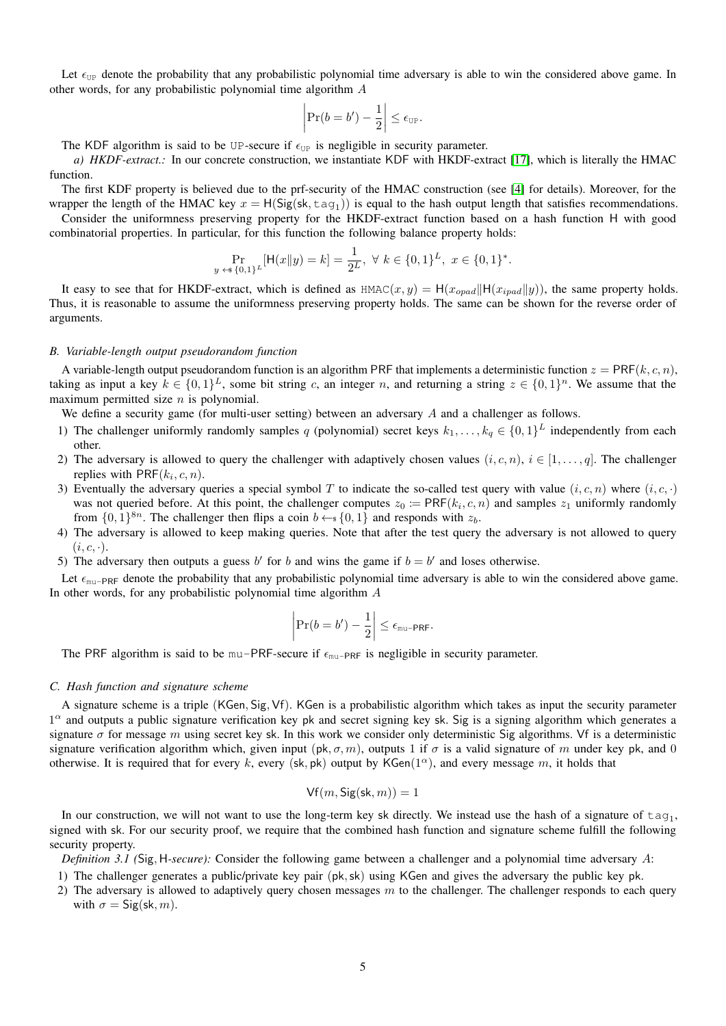Let  $\epsilon_{\text{TP}}$  denote the probability that any probabilistic polynomial time adversary is able to win the considered above game. In other words, for any probabilistic polynomial time algorithm A

$$
\left|\Pr(b=b')-\frac{1}{2}\right|\leq \epsilon_{\text{UP}}.
$$

The KDF algorithm is said to be UP-secure if  $\epsilon_{\text{UP}}$  is negligible in security parameter.

*a) HKDF-extract.:* In our concrete construction, we instantiate KDF with HKDF-extract [\[17\]](#page-10-18), which is literally the HMAC function.

The first KDF property is believed due to the prf-security of the HMAC construction (see [\[4\]](#page-10-19) for details). Moreover, for the wrapper the length of the HMAC key  $x = H(Sig(s k, tag_1))$  is equal to the hash output length that satisfies recommendations.

Consider the uniformness preserving property for the HKDF-extract function based on a hash function H with good combinatorial properties. In particular, for this function the following balance property holds:

$$
\Pr_{y \leftrightarrow \{0,1\}^L}[\mathsf{H}(x||y) = k] = \frac{1}{2^L}, \ \forall \ k \in \{0,1\}^L, \ x \in \{0,1\}^*.
$$

It easy to see that for HKDF-extract, which is defined as  $HMAC(x, y) = H(x_{opad}||H(x_{ipad}||y))$ , the same property holds. Thus, it is reasonable to assume the uniformness preserving property holds. The same can be shown for the reverse order of arguments.

# *B. Variable-length output pseudorandom function*

A variable-length output pseudorandom function is an algorithm PRF that implements a deterministic function  $z = PRF(k, c, n)$ . taking as input a key  $k \in \{0,1\}^L$ , some bit string c, an integer n, and returning a string  $z \in \{0,1\}^n$ . We assume that the maximum permitted size  $n$  is polynomial.

We define a security game (for multi-user setting) between an adversary A and a challenger as follows.

- 1) The challenger uniformly randomly samples q (polynomial) secret keys  $k_1, \ldots, k_q \in \{0,1\}^L$  independently from each other.
- 2) The adversary is allowed to query the challenger with adaptively chosen values  $(i, c, n)$ ,  $i \in [1, \ldots, q]$ . The challenger replies with  $\textsf{PRF}(k_i, c, n)$ .
- 3) Eventually the adversary queries a special symbol T to indicate the so-called test query with value  $(i, c, n)$  where  $(i, c, \cdot)$ was not queried before. At this point, the challenger computes  $z_0 := \text{PRF}(k_i, c, n)$  and samples  $z_1$  uniformly randomly from  $\{0,1\}^{8n}$ . The challenger then flips a coin  $b \leftarrow s \{0,1\}$  and responds with  $z_b$ .
- 4) The adversary is allowed to keep making queries. Note that after the test query the adversary is not allowed to query  $(i, c, \cdot).$
- 5) The adversary then outputs a guess b' for b and wins the game if  $b = b'$  and loses otherwise.

Let  $\epsilon_{\text{mu-PRF}}$  denote the probability that any probabilistic polynomial time adversary is able to win the considered above game. In other words, for any probabilistic polynomial time algorithm A

$$
\left|\Pr(b=b')-\frac{1}{2}\right|\leq \epsilon_{\text{mu-PRF}}.
$$

The PRF algorithm is said to be  $mu-PRF$ -secure if  $\epsilon_{mu-PRF}$  is negligible in security parameter.

# *C. Hash function and signature scheme*

A signature scheme is a triple (KGen, Sig, Vf). KGen is a probabilistic algorithm which takes as input the security parameter  $1^\alpha$  and outputs a public signature verification key pk and secret signing key sk. Sig is a signing algorithm which generates a signature  $\sigma$  for message m using secret key sk. In this work we consider only deterministic Sig algorithms. Vf is a deterministic signature verification algorithm which, given input (pk,  $\sigma$ , m), outputs 1 if  $\sigma$  is a valid signature of m under key pk, and 0 otherwise. It is required that for every k, every (sk, pk) output by KGen( $1^{\alpha}$ ), and every message m, it holds that

$$
\mathsf{Vf}(m,\mathsf{Sig}(\mathsf{sk},m))=1
$$

In our construction, we will not want to use the long-term key sk directly. We instead use the hash of a signature of  $\text{tag}_1$ , signed with sk. For our security proof, we require that the combined hash function and signature scheme fulfill the following security property.

*Definition 3.1 (*Sig, H*-secure):* Consider the following game between a challenger and a polynomial time adversary A:

- 1) The challenger generates a public/private key pair (pk,sk) using KGen and gives the adversary the public key pk.
- 2) The adversary is allowed to adaptively query chosen messages  $m$  to the challenger. The challenger responds to each query with  $\sigma = \text{Sig}(\textsf{sk}, m)$ .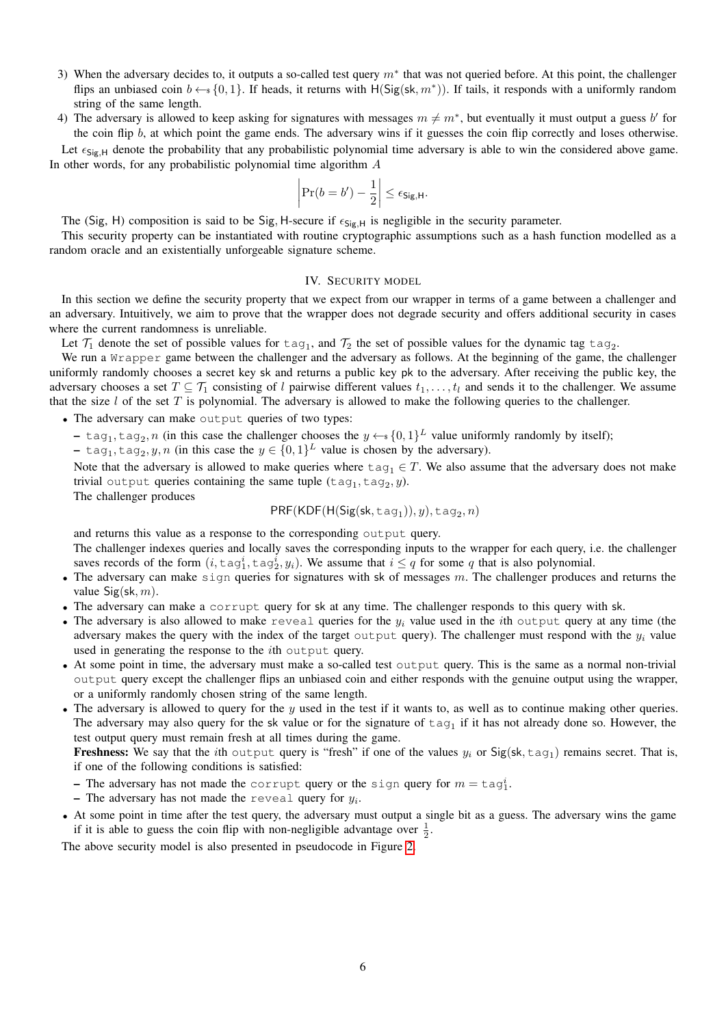- 3) When the adversary decides to, it outputs a so-called test query  $m^*$  that was not queried before. At this point, the challenger flips an unbiased coin  $b \leftarrow s \{0, 1\}$ . If heads, it returns with  $H(Sig(sk, m^*))$ . If tails, it responds with a uniformly random string of the same length.
- 4) The adversary is allowed to keep asking for signatures with messages  $m \neq m^*$ , but eventually it must output a guess b' for the coin flip  $b$ , at which point the game ends. The adversary wins if it guesses the coin flip correctly and loses otherwise. Let  $\epsilon_{\text{Si}_g}$  denote the probability that any probabilistic polynomial time adversary is able to win the considered above game.

In other words, for any probabilistic polynomial time algorithm A

$$
\left|\Pr(b=b')-\frac{1}{2}\right|\leq \epsilon_{\mathsf{Sig},\mathsf{H}}.
$$

The (Sig, H) composition is said to be Sig, H-secure if  $\epsilon_{\text{Sig,H}}$  is negligible in the security parameter.

This security property can be instantiated with routine cryptographic assumptions such as a hash function modelled as a random oracle and an existentially unforgeable signature scheme.

#### IV. SECURITY MODEL

<span id="page-5-0"></span>In this section we define the security property that we expect from our wrapper in terms of a game between a challenger and an adversary. Intuitively, we aim to prove that the wrapper does not degrade security and offers additional security in cases where the current randomness is unreliable.

Let  $\mathcal{T}_1$  denote the set of possible values for  $\text{tag}_1$ , and  $\mathcal{T}_2$  the set of possible values for the dynamic tag  $\text{tag}_2$ .

We run a Wrapper game between the challenger and the adversary as follows. At the beginning of the game, the challenger uniformly randomly chooses a secret key sk and returns a public key pk to the adversary. After receiving the public key, the adversary chooses a set  $T \subseteq \mathcal{T}_1$  consisting of l pairwise different values  $t_1, \ldots, t_l$  and sends it to the challenger. We assume that the size  $l$  of the set  $T$  is polynomial. The adversary is allowed to make the following queries to the challenger.

- The adversary can make output queries of two types:
	- tag<sub>1</sub>, tag<sub>2</sub>, n (in this case the challenger chooses the  $y \leftarrow s \{0, 1\}^L$  value uniformly randomly by itself);
	- tag<sub>1</sub>, tag<sub>2</sub>, y, n (in this case the  $y \in \{0,1\}^L$  value is chosen by the adversary).

Note that the adversary is allowed to make queries where  $\text{tag}_1 \in T$ . We also assume that the adversary does not make trivial output queries containing the same tuple  $(\text{tag}_1, \text{tag}_2, y)$ .

The challenger produces

$$
\mathsf{PRF}(\mathsf{KDF}(\mathsf{H}(\mathsf{Sig}(\mathsf{sk},\textsf{tag}_1)),y),\textsf{tag}_2,n)
$$

and returns this value as a response to the corresponding output query.

The challenger indexes queries and locally saves the corresponding inputs to the wrapper for each query, i.e. the challenger saves records of the form  $(i, \text{tag}_1^i, \text{tag}_2^i, y_i)$ . We assume that  $i \leq q$  for some q that is also polynomial.

- The adversary can make  $\sin \theta$  queries for signatures with sk of messages m. The challenger produces and returns the value  $Sig(sk, m)$ .
- The adversary can make a corrupt query for sk at any time. The challenger responds to this query with sk.
- The adversary is also allowed to make reveal queries for the  $y_i$  value used in the *i*th output query at any time (the adversary makes the query with the index of the target output query). The challenger must respond with the  $y_i$  value used in generating the response to the ith output query.
- At some point in time, the adversary must make a so-called test output query. This is the same as a normal non-trivial output query except the challenger flips an unbiased coin and either responds with the genuine output using the wrapper, or a uniformly randomly chosen string of the same length.
- The adversary is allowed to query for the  $y$  used in the test if it wants to, as well as to continue making other queries. The adversary may also query for the sk value or for the signature of  $\text{tag}_1$  if it has not already done so. However, the test output query must remain fresh at all times during the game.

**Freshness:** We say that the *i*th output query is "fresh" if one of the values  $y_i$  or  $Sig(sk, tag_1)$  remains secret. That is, if one of the following conditions is satisfied:

- The adversary has not made the corrupt query or the sign query for  $m = \text{tag}_1^i$ .
- The adversary has not made the reveal query for  $y_i$ .
- At some point in time after the test query, the adversary must output a single bit as a guess. The adversary wins the game if it is able to guess the coin flip with non-negligible advantage over  $\frac{1}{2}$ .

The above security model is also presented in pseudocode in Figure [2.](#page-6-0)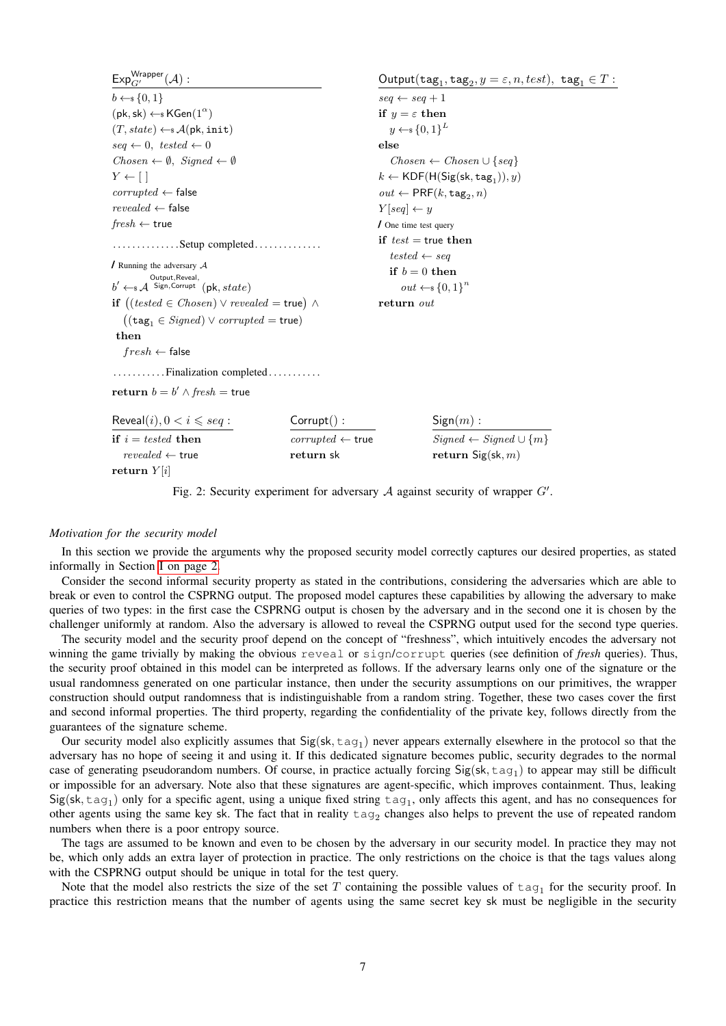<span id="page-6-0"></span>

| $\mathsf{Exp}_{G'}^{\mathsf{Wrapper}}(\mathcal{A}):$                     |                                    | Output(tag <sub>1</sub> , tag <sub>2</sub> , $y = \varepsilon$ , n, test), tag <sub>1</sub> $\in$ T : |  |  |
|--------------------------------------------------------------------------|------------------------------------|-------------------------------------------------------------------------------------------------------|--|--|
| $b \leftarrow s \{0, 1\}$                                                |                                    | $seq \leftarrow seq + 1$                                                                              |  |  |
| $(\mathsf{pk}, \mathsf{sk}) \leftarrow \mathsf{sKGen}(1^\alpha)$         |                                    | if $y = \varepsilon$ then                                                                             |  |  |
| $(T, state) \leftarrow \{A(\mathsf{pk}, \mathtt{init})$                  |                                    | $y \leftarrow s \{0, 1\}^L$                                                                           |  |  |
| $seq \leftarrow 0$ , tested $\leftarrow 0$                               |                                    | else                                                                                                  |  |  |
| $Chosen \leftarrow \emptyset$ , Signed $\leftarrow \emptyset$            |                                    | $Chosen \leftarrow Chosen \cup \{seq\}$                                                               |  |  |
| $Y \leftarrow [$                                                         |                                    | $k \leftarrow \text{KDF}(\mathsf{H}(\mathsf{Sig}(\mathsf{sk},\mathsf{tag}_1)), y)$                    |  |  |
| <i>corrupted</i> $\leftarrow$ false                                      |                                    | $out \leftarrow \text{PRF}(k, \texttt{tag}_2, n)$                                                     |  |  |
| revealed $\leftarrow$ false                                              |                                    | $Y[seq] \leftarrow y$                                                                                 |  |  |
| $\mathit{fresh} \leftarrow \textsf{true}$                                |                                    | <i>l</i> One time test query                                                                          |  |  |
|                                                                          |                                    | if $test = true$ then                                                                                 |  |  |
| <b>/</b> Running the adversary $\mathcal A$                              |                                    | tested $\leftarrow$ seq                                                                               |  |  |
| Output, Reveal,<br>$b' \leftarrow \mathcal{A}$ Sign, Corrupt (pk, state) |                                    | if $b=0$ then<br>$out \leftarrow s \{0,1\}^n$                                                         |  |  |
|                                                                          |                                    | return out                                                                                            |  |  |
| if $((tested \in Chosen) \vee revealed = true) \wedge$                   |                                    |                                                                                                       |  |  |
| $((tag_1 \in Signed) \vee corrupted = true)$                             |                                    |                                                                                                       |  |  |
| then                                                                     |                                    |                                                                                                       |  |  |
| ${\it fresh} \leftarrow {\sf false}$                                     |                                    |                                                                                                       |  |  |
|                                                                          |                                    |                                                                                                       |  |  |
| return $b = b' \wedge \text{ fresh} = \text{true}$                       |                                    |                                                                                                       |  |  |
| Reveal $(i)$ , $0 < i \leqslant seq$ :                                   | $Corrupt()$ :                      | $Sign(m)$ :                                                                                           |  |  |
| if $i = tested$ then                                                     | <i>corrupted</i> $\leftarrow$ true | $Signal \leftarrow Signal \cup \{m\}$                                                                 |  |  |
| revealed $\leftarrow$ true                                               | return sk                          | return $Sig(sk, m)$                                                                                   |  |  |
| return $Y[i]$                                                            |                                    |                                                                                                       |  |  |

Fig. 2: Security experiment for adversary  $A$  against security of wrapper  $G'$ .

#### *Motivation for the security model*

In this section we provide the arguments why the proposed security model correctly captures our desired properties, as stated informally in Section [I on page 2.](#page-1-1)

Consider the second informal security property as stated in the contributions, considering the adversaries which are able to break or even to control the CSPRNG output. The proposed model captures these capabilities by allowing the adversary to make queries of two types: in the first case the CSPRNG output is chosen by the adversary and in the second one it is chosen by the challenger uniformly at random. Also the adversary is allowed to reveal the CSPRNG output used for the second type queries.

The security model and the security proof depend on the concept of "freshness", which intuitively encodes the adversary not winning the game trivially by making the obvious reveal or sign/corrupt queries (see definition of *fresh* queries). Thus, the security proof obtained in this model can be interpreted as follows. If the adversary learns only one of the signature or the usual randomness generated on one particular instance, then under the security assumptions on our primitives, the wrapper construction should output randomness that is indistinguishable from a random string. Together, these two cases cover the first and second informal properties. The third property, regarding the confidentiality of the private key, follows directly from the guarantees of the signature scheme.

Our security model also explicitly assumes that  $Sig(sk, tag_1)$  never appears externally elsewhere in the protocol so that the adversary has no hope of seeing it and using it. If this dedicated signature becomes public, security degrades to the normal case of generating pseudorandom numbers. Of course, in practice actually forcing  $Sig(sk, taq_1)$  to appear may still be difficult or impossible for an adversary. Note also that these signatures are agent-specific, which improves containment. Thus, leaking  $Sig(sk, tag_1)$  only for a specific agent, using a unique fixed string  $tag_1$ , only affects this agent, and has no consequences for other agents using the same key sk. The fact that in reality  $\text{tag}_2$  changes also helps to prevent the use of repeated random numbers when there is a poor entropy source.

The tags are assumed to be known and even to be chosen by the adversary in our security model. In practice they may not be, which only adds an extra layer of protection in practice. The only restrictions on the choice is that the tags values along with the CSPRNG output should be unique in total for the test query.

Note that the model also restricts the size of the set  $T$  containing the possible values of  $\text{tag}_1$  for the security proof. In practice this restriction means that the number of agents using the same secret key sk must be negligible in the security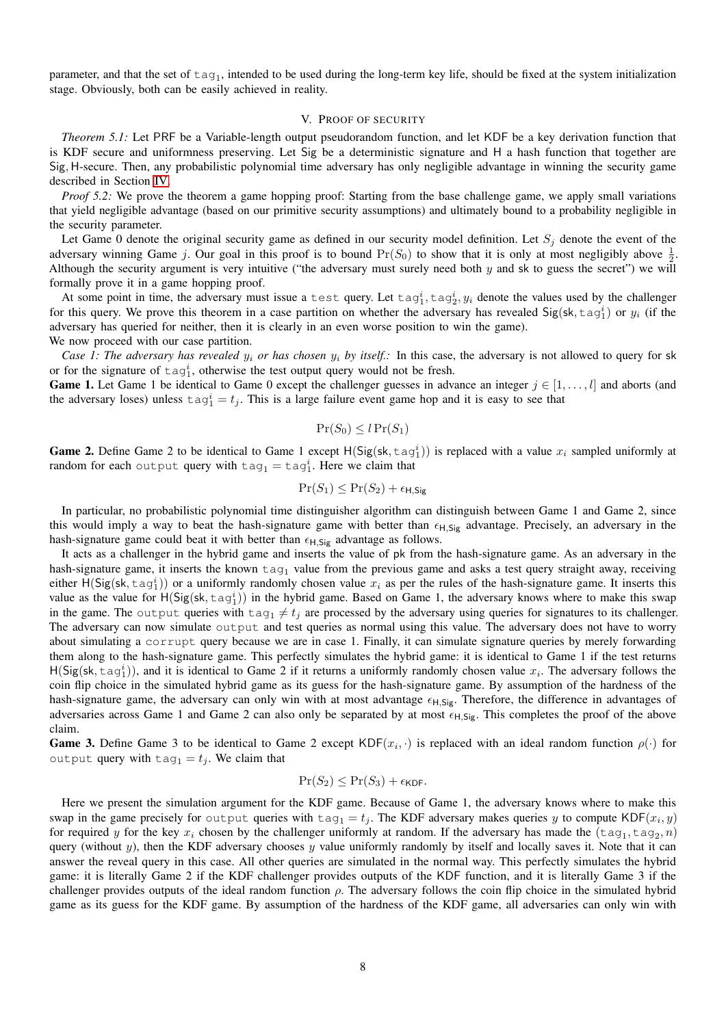parameter, and that the set of  $\text{tag}_1$ , intended to be used during the long-term key life, should be fixed at the system initialization stage. Obviously, both can be easily achieved in reality.

#### V. PROOF OF SECURITY

<span id="page-7-0"></span>*Theorem 5.1:* Let PRF be a Variable-length output pseudorandom function, and let KDF be a key derivation function that is KDF secure and uniformness preserving. Let Sig be a deterministic signature and H a hash function that together are Sig, H-secure. Then, any probabilistic polynomial time adversary has only negligible advantage in winning the security game described in Section [IV.](#page-5-0)

*Proof 5.2:* We prove the theorem a game hopping proof: Starting from the base challenge game, we apply small variations that yield negligible advantage (based on our primitive security assumptions) and ultimately bound to a probability negligible in the security parameter.

Let Game 0 denote the original security game as defined in our security model definition. Let  $S_i$  denote the event of the adversary winning Game j. Our goal in this proof is to bound  $Pr(S_0)$  to show that it is only at most negligibly above  $\frac{1}{2}$ . Although the security argument is very intuitive ("the adversary must surely need both  $y$  and sk to guess the secret") we will formally prove it in a game hopping proof.

At some point in time, the adversary must issue a test query. Let  $\text{tag}_1^i$ ,  $\text{tag}_2^i$ ,  $y_i$  denote the values used by the challenger for this query. We prove this theorem in a case partition on whether the adversary has revealed  $Sig(sk, tag_1^i)$  or  $y_i$  (if the adversary has queried for neither, then it is clearly in an even worse position to win the game). We now proceed with our case partition.

*Case 1: The adversary has revealed*  $y_i$  *or has chosen*  $y_i$  *by itself.*: In this case, the adversary is not allowed to query for sk or for the signature of  $\text{tag}^i_1$ , otherwise the test output query would not be fresh.

**Game 1.** Let Game 1 be identical to Game 0 except the challenger guesses in advance an integer  $j \in [1, \ldots, l]$  and aborts (and the adversary loses) unless  $\text{tag}_1^i = t_j$ . This is a large failure event game hop and it is easy to see that

$$
\Pr(S_0) \le l \Pr(S_1)
$$

**Game 2.** Define Game 2 to be identical to Game 1 except  $H(Sig(s_k, \text{tag}_1^i))$  is replaced with a value  $x_i$  sampled uniformly at random for each output query with  $\texttt{tag}_1 = \texttt{tag}_1^i$ . Here we claim that

$$
\Pr(S_1) \le \Pr(S_2) + \epsilon_{\mathsf{H},\mathsf{Sig}}
$$

In particular, no probabilistic polynomial time distinguisher algorithm can distinguish between Game 1 and Game 2, since this would imply a way to beat the hash-signature game with better than  $\epsilon_{H, Sig}$  advantage. Precisely, an adversary in the hash-signature game could beat it with better than  $\epsilon_{H,Sig}$  advantage as follows.

It acts as a challenger in the hybrid game and inserts the value of pk from the hash-signature game. As an adversary in the hash-signature game, it inserts the known  $\text{tag}_1$  value from the previous game and asks a test query straight away, receiving either  $H(Sig(sk, tag_1^i))$  or a uniformly randomly chosen value  $x_i$  as per the rules of the hash-signature game. It inserts this value as the value for  $H(Sig(sk, tag_1^i))$  in the hybrid game. Based on Game 1, the adversary knows where to make this swap in the game. The output queries with  $\text{tag}_1 \neq t_j$  are processed by the adversary using queries for signatures to its challenger. The adversary can now simulate output and test queries as normal using this value. The adversary does not have to worry about simulating a corrupt query because we are in case 1. Finally, it can simulate signature queries by merely forwarding them along to the hash-signature game. This perfectly simulates the hybrid game: it is identical to Game 1 if the test returns  $H(Sig(sk, tag_1^i))$ , and it is identical to Game 2 if it returns a uniformly randomly chosen value  $x_i$ . The adversary follows the coin flip choice in the simulated hybrid game as its guess for the hash-signature game. By assumption of the hardness of the hash-signature game, the adversary can only win with at most advantage  $\epsilon_{H,Sig}$ . Therefore, the difference in advantages of adversaries across Game 1 and Game 2 can also only be separated by at most  $\epsilon_{H, S_i g}$ . This completes the proof of the above claim.

**Game 3.** Define Game 3 to be identical to Game 2 except KDF $(x_i, \cdot)$  is replaced with an ideal random function  $\rho(\cdot)$  for output query with  $\text{tag}_1 = t_i$ . We claim that

$$
\Pr(S_2) \le \Pr(S_3) + \epsilon_{\text{KDF}}.
$$

Here we present the simulation argument for the KDF game. Because of Game 1, the adversary knows where to make this swap in the game precisely for output queries with  $\text{tag}_1 = t_j$ . The KDF adversary makes queries  $y$  to compute KDF $(x_i, y)$ for required y for the key  $x_i$  chosen by the challenger uniformly at random. If the adversary has made the  $(\text{tag}_1, \text{tag}_2, n)$ query (without  $y$ ), then the KDF adversary chooses y value uniformly randomly by itself and locally saves it. Note that it can answer the reveal query in this case. All other queries are simulated in the normal way. This perfectly simulates the hybrid game: it is literally Game 2 if the KDF challenger provides outputs of the KDF function, and it is literally Game 3 if the challenger provides outputs of the ideal random function  $\rho$ . The adversary follows the coin flip choice in the simulated hybrid game as its guess for the KDF game. By assumption of the hardness of the KDF game, all adversaries can only win with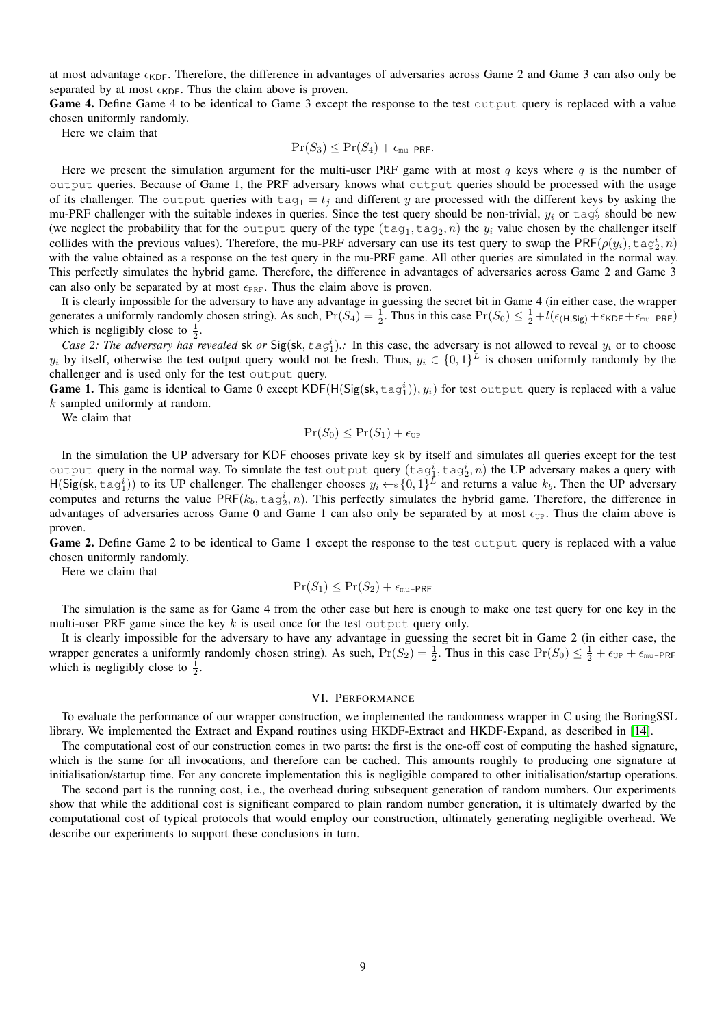at most advantage  $\epsilon_{KDF}$ . Therefore, the difference in advantages of adversaries across Game 2 and Game 3 can also only be separated by at most  $\epsilon_{\text{KDF}}$ . Thus the claim above is proven.

Game 4. Define Game 4 to be identical to Game 3 except the response to the test output query is replaced with a value chosen uniformly randomly.

Here we claim that

$$
\Pr(S_3) \leq \Pr(S_4) + \epsilon_{\text{mu-PRF}}.
$$

Here we present the simulation argument for the multi-user PRF game with at most q keys where q is the number of output queries. Because of Game 1, the PRF adversary knows what output queries should be processed with the usage of its challenger. The output queries with  $\text{tag}_1 = t_j$  and different y are processed with the different keys by asking the mu-PRF challenger with the suitable indexes in queries. Since the test query should be non-trivial,  $y_i$  or  $\text{tag}_2^i$  should be new (we neglect the probability that for the output query of the type  $(\text{tag}_1, \text{tag}_2, n)$  the  $y_i$  value chosen by the challenger itself collides with the previous values). Therefore, the mu-PRF adversary can use its test query to swap the PRF( $\rho(y_i)$ ,  $\text{tag}_2^i$ ,  $n$ ) with the value obtained as a response on the test query in the mu-PRF game. All other queries are simulated in the normal way. This perfectly simulates the hybrid game. Therefore, the difference in advantages of adversaries across Game 2 and Game 3 can also only be separated by at most  $\epsilon_{\text{PRF}}$ . Thus the claim above is proven.

It is clearly impossible for the adversary to have any advantage in guessing the secret bit in Game 4 (in either case, the wrapper generates a uniformly randomly chosen string). As such,  $Pr(S_4) = \frac{1}{2}$ . Thus in this case  $Pr(S_0) \leq \frac{1}{2} + l(\epsilon_{(H, \text{Sig})} + \epsilon_{KDF} + \epsilon_{\text{mu-PRF}})$ which is negligibly close to  $\frac{1}{2}$ .

*Case 2: The adversary has revealed* sk *or* Sig(sk,  $\text{tag}^i$ ).: In this case, the adversary is not allowed to reveal  $y_i$  or to choose  $y_i$  by itself, otherwise the test output query would not be fresh. Thus,  $y_i \in \{0,1\}^L$  is chosen uniformly randomly by the challenger and is used only for the test output query.

Game 1. This game is identical to Game 0 except  $\mathsf{KDF}(\mathsf{H}(\mathsf{Sig}(\mathsf{sk},\textsf{tag}_1^i)), y_i)$  for test output query is replaced with a value k sampled uniformly at random.

We claim that

$$
\Pr(S_0) \le \Pr(S_1) + \epsilon_{\text{UP}}
$$

In the simulation the UP adversary for KDF chooses private key sk by itself and simulates all queries except for the test output query in the normal way. To simulate the test output query  $(\text{tag}_1^i, \text{tag}_2^i, n)$  the UP adversary makes a query with  $H(Sig (sk, tag_1^i))$  to its UP challenger. The challenger chooses  $y_i \leftarrow s \{0,1\}^L$  and returns a value  $k_b$ . Then the UP adversary computes and returns the value  $\text{PRF}(k_b, \text{tag}_2^i, n)$ . This perfectly simulates the hybrid game. Therefore, the difference in advantages of adversaries across Game 0 and Game 1 can also only be separated by at most  $\epsilon_{\text{UP}}$ . Thus the claim above is proven.

Game 2. Define Game 2 to be identical to Game 1 except the response to the test output query is replaced with a value chosen uniformly randomly.

Here we claim that

$$
\Pr(S_1) \le \Pr(S_2) + \epsilon_{\text{mu-PRF}}
$$

The simulation is the same as for Game 4 from the other case but here is enough to make one test query for one key in the multi-user PRF game since the key  $k$  is used once for the test output query only.

It is clearly impossible for the adversary to have any advantage in guessing the secret bit in Game 2 (in either case, the wrapper generates a uniformly randomly chosen string). As such,  $Pr(S_2) = \frac{1}{2}$ . Thus in this case  $Pr(S_0) \le \frac{1}{2} + \epsilon_{UP} + \epsilon_{\text{mu-PRF}}$ which is negligibly close to  $\frac{1}{2}$ .

# VI. PERFORMANCE

<span id="page-8-0"></span>To evaluate the performance of our wrapper construction, we implemented the randomness wrapper in C using the BoringSSL library. We implemented the Extract and Expand routines using HKDF-Extract and HKDF-Expand, as described in [\[14\]](#page-10-15).

The computational cost of our construction comes in two parts: the first is the one-off cost of computing the hashed signature, which is the same for all invocations, and therefore can be cached. This amounts roughly to producing one signature at initialisation/startup time. For any concrete implementation this is negligible compared to other initialisation/startup operations.

The second part is the running cost, i.e., the overhead during subsequent generation of random numbers. Our experiments show that while the additional cost is significant compared to plain random number generation, it is ultimately dwarfed by the computational cost of typical protocols that would employ our construction, ultimately generating negligible overhead. We describe our experiments to support these conclusions in turn.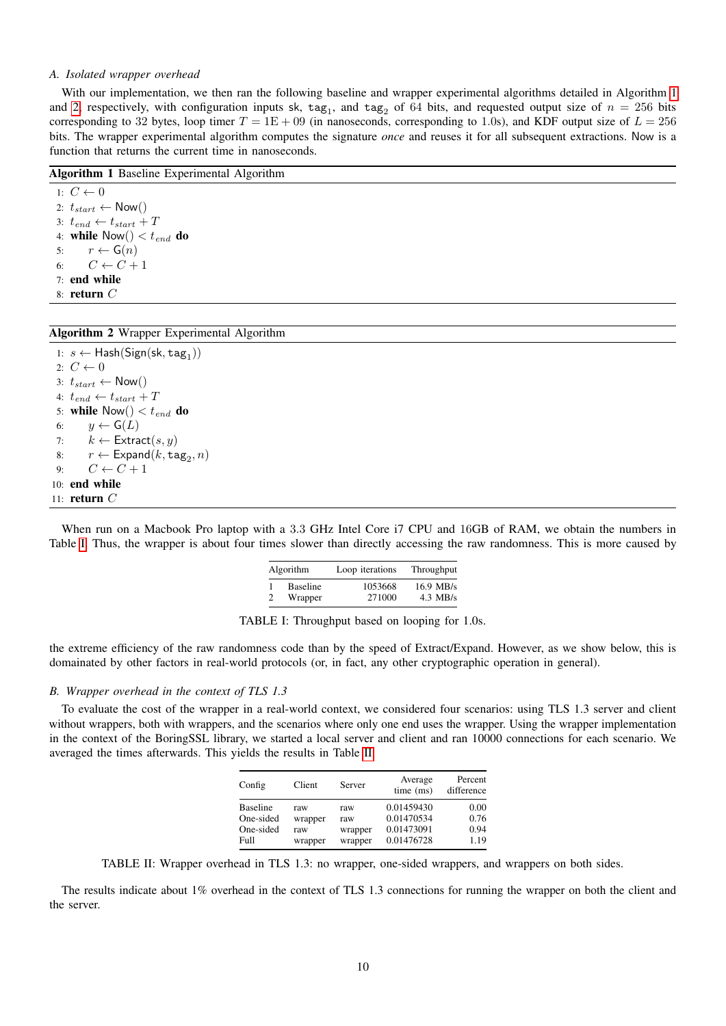# *A. Isolated wrapper overhead*

With our implementation, we then ran the following baseline and wrapper experimental algorithms detailed in Algorithm [1](#page-9-0) and [2,](#page-9-1) respectively, with configuration inputs sk,  $\text{tag}_1$ , and  $\text{tag}_2$  of 64 bits, and requested output size of  $n = 256$  bits corresponding to 32 bytes, loop timer  $T = 1E + 09$  (in nanoseconds, corresponding to 1.0s), and KDF output size of  $L = 256$ bits. The wrapper experimental algorithm computes the signature *once* and reuses it for all subsequent extractions. Now is a function that returns the current time in nanoseconds.

<span id="page-9-0"></span>Algorithm 1 Baseline Experimental Algorithm

1:  $C \leftarrow 0$ 2:  $t_{start} \leftarrow \text{Now}()$ 3:  $t_{end} \leftarrow t_{start} + T$ 4: while  $\mathsf{Now}() < t_{end}$  do 5:  $r \leftarrow G(n)$ 6:  $C \leftarrow C + 1$ 7: end while 8: return C

<span id="page-9-1"></span>Algorithm 2 Wrapper Experimental Algorithm

```
1: s \leftarrow Hash(Sign(sk, tag<sub>1</sub>))
 2: C \leftarrow 03: t_{start} \leftarrow \text{Now}()4: t_{end} \leftarrow t_{start} + T5: while \mathsf{Now}() < t_{end} do
 6: y \leftarrow G(L)7: k \leftarrow \text{Extract}(s, y)8: r \leftarrow \textsf{Expand}(k, \texttt{tag}_2, n)9: C \leftarrow C + 110: end while
11: return C
```
<span id="page-9-2"></span>When run on a Macbook Pro laptop with a 3.3 GHz Intel Core i7 CPU and 16GB of RAM, we obtain the numbers in Table [I.](#page-9-2) Thus, the wrapper is about four times slower than directly accessing the raw randomness. This is more caused by

| Algorithm |                 | Loop iterations | Throughput  |  |
|-----------|-----------------|-----------------|-------------|--|
|           | <b>Baseline</b> | 1053668         | $16.9$ MB/s |  |
|           | Wrapper         | 271000          | $4.3$ MB/s  |  |

| TABLE I: Throughput based on looping for 1.0s. |  |  |  |  |  |
|------------------------------------------------|--|--|--|--|--|
|------------------------------------------------|--|--|--|--|--|

the extreme efficiency of the raw randomness code than by the speed of Extract/Expand. However, as we show below, this is domainated by other factors in real-world protocols (or, in fact, any other cryptographic operation in general).

# *B. Wrapper overhead in the context of TLS 1.3*

<span id="page-9-3"></span>To evaluate the cost of the wrapper in a real-world context, we considered four scenarios: using TLS 1.3 server and client without wrappers, both with wrappers, and the scenarios where only one end uses the wrapper. Using the wrapper implementation in the context of the BoringSSL library, we started a local server and client and ran 10000 connections for each scenario. We averaged the times afterwards. This yields the results in Table [II.](#page-9-3)

| Config          | Client  | Server  | Average<br>time (ms) | Percent<br>difference |
|-----------------|---------|---------|----------------------|-----------------------|
| <b>Baseline</b> | raw     | raw     | 0.01459430           | 0.00                  |
| One-sided       | wrapper | raw     | 0.01470534           | 0.76                  |
| One-sided       | raw     | wrapper | 0.01473091           | 0.94                  |
| Full            | wrapper | wrapper | 0.01476728           | 1.19                  |

TABLE II: Wrapper overhead in TLS 1.3: no wrapper, one-sided wrappers, and wrappers on both sides.

The results indicate about 1% overhead in the context of TLS 1.3 connections for running the wrapper on both the client and the server.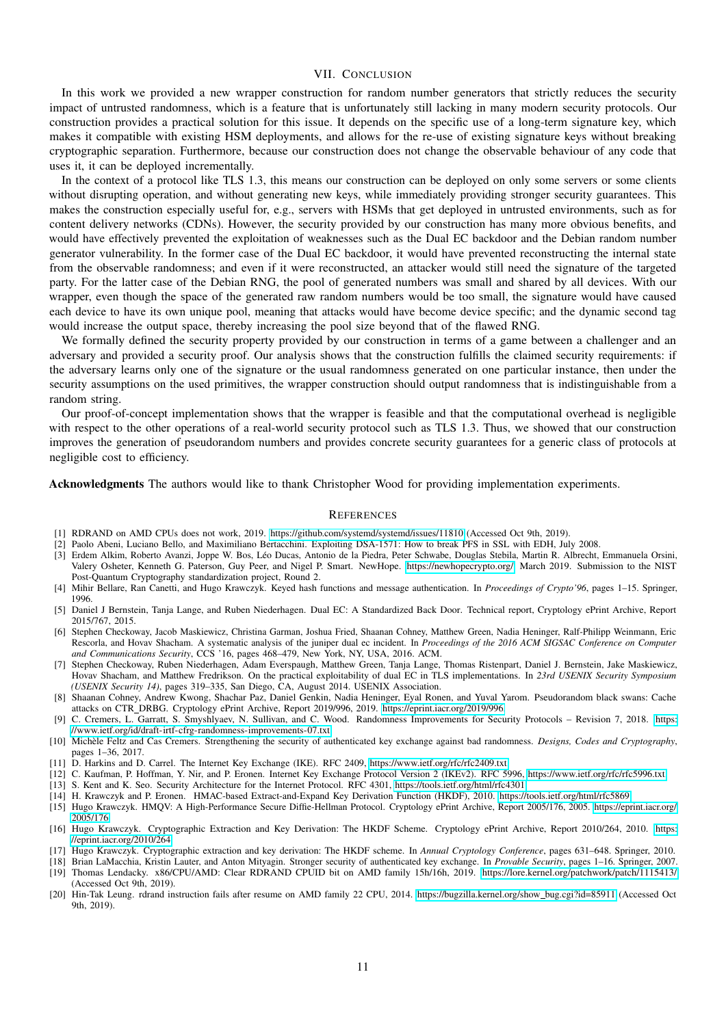# VII. CONCLUSION

In this work we provided a new wrapper construction for random number generators that strictly reduces the security impact of untrusted randomness, which is a feature that is unfortunately still lacking in many modern security protocols. Our construction provides a practical solution for this issue. It depends on the specific use of a long-term signature key, which makes it compatible with existing HSM deployments, and allows for the re-use of existing signature keys without breaking cryptographic separation. Furthermore, because our construction does not change the observable behaviour of any code that uses it, it can be deployed incrementally.

In the context of a protocol like TLS 1.3, this means our construction can be deployed on only some servers or some clients without disrupting operation, and without generating new keys, while immediately providing stronger security guarantees. This makes the construction especially useful for, e.g., servers with HSMs that get deployed in untrusted environments, such as for content delivery networks (CDNs). However, the security provided by our construction has many more obvious benefits, and would have effectively prevented the exploitation of weaknesses such as the Dual EC backdoor and the Debian random number generator vulnerability. In the former case of the Dual EC backdoor, it would have prevented reconstructing the internal state from the observable randomness; and even if it were reconstructed, an attacker would still need the signature of the targeted party. For the latter case of the Debian RNG, the pool of generated numbers was small and shared by all devices. With our wrapper, even though the space of the generated raw random numbers would be too small, the signature would have caused each device to have its own unique pool, meaning that attacks would have become device specific; and the dynamic second tag would increase the output space, thereby increasing the pool size beyond that of the flawed RNG.

We formally defined the security property provided by our construction in terms of a game between a challenger and an adversary and provided a security proof. Our analysis shows that the construction fulfills the claimed security requirements: if the adversary learns only one of the signature or the usual randomness generated on one particular instance, then under the security assumptions on the used primitives, the wrapper construction should output randomness that is indistinguishable from a random string.

Our proof-of-concept implementation shows that the wrapper is feasible and that the computational overhead is negligible with respect to the other operations of a real-world security protocol such as TLS 1.3. Thus, we showed that our construction improves the generation of pseudorandom numbers and provides concrete security guarantees for a generic class of protocols at negligible cost to efficiency.

#### Acknowledgments The authors would like to thank Christopher Wood for providing implementation experiments.

#### **REFERENCES**

- <span id="page-10-6"></span>[1] RDRAND on AMD CPUs does not work, 2019.<https://github.com/systemd/systemd/issues/11810> (Accessed Oct 9th, 2019).
- <span id="page-10-0"></span>[2] Paolo Abeni, Luciano Bello, and Maximiliano Bertacchini. Exploiting DSA-1571: How to break PFS in SSL with EDH, July 2008.
- <span id="page-10-11"></span>[3] Erdem Alkim, Roberto Avanzi, Joppe W. Bos, Leo Ducas, Antonio de la Piedra, Peter Schwabe, Douglas Stebila, Martin R. Albrecht, Emmanuela Orsini, ´ Valery Osheter, Kenneth G. Paterson, Guy Peer, and Nigel P. Smart. NewHope. [https://newhopecrypto.org/,](https://newhopecrypto.org/) March 2019. Submission to the NIST Post-Quantum Cryptography standardization project, Round 2.
- <span id="page-10-19"></span>[4] Mihir Bellare, Ran Canetti, and Hugo Krawczyk. Keyed hash functions and message authentication. In *Proceedings of Crypto'96*, pages 1–15. Springer, 1996.
- <span id="page-10-1"></span>[5] Daniel J Bernstein, Tanja Lange, and Ruben Niederhagen. Dual EC: A Standardized Back Door. Technical report, Cryptology ePrint Archive, Report 2015/767, 2015.
- <span id="page-10-3"></span>[6] Stephen Checkoway, Jacob Maskiewicz, Christina Garman, Joshua Fried, Shaanan Cohney, Matthew Green, Nadia Heninger, Ralf-Philipp Weinmann, Eric Rescorla, and Hovav Shacham. A systematic analysis of the juniper dual ec incident. In *Proceedings of the 2016 ACM SIGSAC Conference on Computer and Communications Security*, CCS '16, pages 468–479, New York, NY, USA, 2016. ACM.
- <span id="page-10-2"></span>[7] Stephen Checkoway, Ruben Niederhagen, Adam Everspaugh, Matthew Green, Tanja Lange, Thomas Ristenpart, Daniel J. Bernstein, Jake Maskiewicz, Hovav Shacham, and Matthew Fredrikson. On the practical exploitability of dual EC in TLS implementations. In *23rd USENIX Security Symposium (USENIX Security 14)*, pages 319–335, San Diego, CA, August 2014. USENIX Association.
- <span id="page-10-4"></span>[8] Shaanan Cohney, Andrew Kwong, Shachar Paz, Daniel Genkin, Nadia Heninger, Eyal Ronen, and Yuval Yarom. Pseudorandom black swans: Cache attacks on CTR DRBG. Cryptology ePrint Archive, Report 2019/996, 2019. [https://eprint.iacr.org/2019/996.](https://eprint.iacr.org/2019/996)
- <span id="page-10-14"></span>[9] C. Cremers, L. Garratt, S. Smyshlyaev, N. Sullivan, and C. Wood. Randomness Improvements for Security Protocols – Revision 7, 2018. [https:](https://www.ietf.org/id/draft-irtf-cfrg-randomness-improvements-07.txt) [//www.ietf.org/id/draft-irtf-cfrg-randomness-improvements-07.txt.](https://www.ietf.org/id/draft-irtf-cfrg-randomness-improvements-07.txt)
- <span id="page-10-17"></span>[10] Michèle Feltz and Cas Cremers. Strengthening the security of authenticated key exchange against bad randomness. *Designs, Codes and Cryptography*, pages 1–36, 2017.
- <span id="page-10-8"></span>[11] D. Harkins and D. Carrel. The Internet Key Exchange (IKE). RFC 2409, [https://www.ietf.org/rfc/rfc2409.txt.](https://www.ietf.org/rfc/rfc2409.txt)
- <span id="page-10-9"></span>[12] C. Kaufman, P. Hoffman, Y. Nir, and P. Eronen. Internet Key Exchange Protocol Version 2 (IKEv2). RFC 5996, [https://www.ietf.org/rfc/rfc5996.txt.](https://www.ietf.org/rfc/rfc5996.txt)
- <span id="page-10-10"></span>[13] S. Kent and K. Seo. Security Architecture for the Internet Protocol. RFC 4301, [https://tools.ietf.org/html/rfc4301.](https://tools.ietf.org/html/rfc4301)
- <span id="page-10-15"></span>[14] H. Krawczyk and P. Eronen. HMAC-based Extract-and-Expand Key Derivation Function (HKDF), 2010. [https://tools.ietf.org/html/rfc5869.](https://tools.ietf.org/html/rfc5869)
- <span id="page-10-12"></span>[15] Hugo Krawczyk. HMQV: A High-Performance Secure Diffie-Hellman Protocol. Cryptology ePrint Archive, Report 2005/176, 2005. [https://eprint.iacr.org/](https://eprint.iacr.org/2005/176) [2005/176.](https://eprint.iacr.org/2005/176)
- <span id="page-10-16"></span>[16] Hugo Krawczyk. Cryptographic Extraction and Key Derivation: The HKDF Scheme. Cryptology ePrint Archive, Report 2010/264, 2010. [https:](https://eprint.iacr.org/2010/264) [//eprint.iacr.org/2010/264.](https://eprint.iacr.org/2010/264)
- <span id="page-10-18"></span>[17] Hugo Krawczyk. Cryptographic extraction and key derivation: The HKDF scheme. In *Annual Cryptology Conference*, pages 631–648. Springer, 2010.
- <span id="page-10-13"></span>[18] Brian LaMacchia, Kristin Lauter, and Anton Mityagin. Stronger security of authenticated key exchange. In *Provable Security*, pages 1–16. Springer, 2007.
- <span id="page-10-7"></span>[19] Thomas Lendacky. x86/CPU/AMD: Clear RDRAND CPUID bit on AMD family 15h/16h, 2019.<https://lore.kernel.org/patchwork/patch/1115413/> (Accessed Oct 9th, 2019).
- <span id="page-10-5"></span>[20] Hin-Tak Leung. rdrand instruction fails after resume on AMD family 22 CPU, 2014. [https://bugzilla.kernel.org/show](https://bugzilla.kernel.org/show_bug.cgi?id=85911) bug.cgi?id=85911 (Accessed Oct 9th, 2019).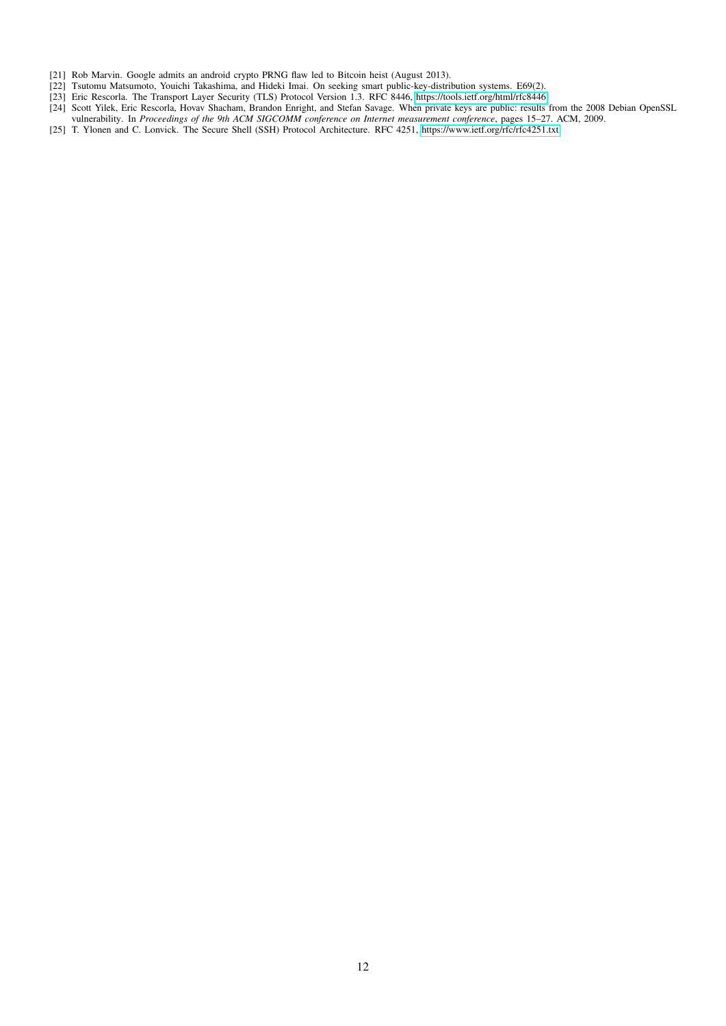- <span id="page-11-1"></span>[21] Rob Marvin. Google admits an android crypto PRNG flaw led to Bitcoin heist (August 2013).
- <span id="page-11-4"></span>[22] Tsutomu Matsumoto, Youichi Takashima, and Hideki Imai. On seeking smart public-key-distribution systems. E69(2).
- <span id="page-11-3"></span>[23] Eric Rescorla. The Transport Layer Security (TLS) Protocol Version 1.3. RFC 8446, [https://tools.ietf.org/html/rfc8446.](https://tools.ietf.org/html/rfc8446)
- <span id="page-11-0"></span>[24] Scott Yilek, Eric Rescorla, Hovav Shacham, Brandon Enright, and Stefan Savage. When private keys are public: results from the 2008 Debian OpenSSL
- vulnerability. In *Proceedings of the 9th ACM SIGCOMM conference on Internet measurement conference*, pages 15–27. ACM, 2009.
- <span id="page-11-2"></span>[25] T. Ylonen and C. Lonvick. The Secure Shell (SSH) Protocol Architecture. RFC 4251, [https://www.ietf.org/rfc/rfc4251.txt.](https://www.ietf.org/rfc/rfc4251.txt)